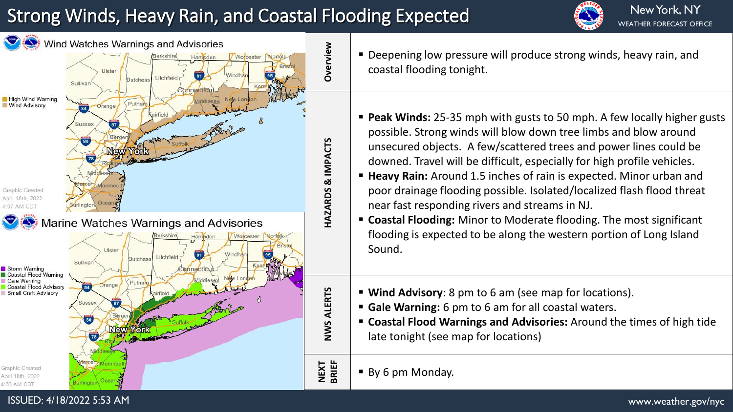## Strong Winds, Heavy Rain, and Coastal Flooding Expected





- Deepening low pressure will produce strong winds, heavy rain, and coastal flooding tonight.
- **Peak Winds:** 25-35 mph with gusts to 50 mph. A few locally higher gusts possible. Strong winds will blow down tree limbs and blow around unsecured objects. A few/scattered trees and power lines could be downed. Travel will be difficult, especially for high profile vehicles.
- **Heavy Rain:** Around 1.5 inches of rain is expected. Minor urban and poor drainage flooding possible. Isolated/localized flash flood threat near fast responding rivers and streams in NJ.
- **Coastal Flooding:** Minor to Moderate flooding. The most significant flooding is expected to be along the western portion of Long Island
- **Wind Advisory**: 8 pm to 6 am (see map for locations).
- **Gale Warning:** 6 pm to 6 am for all coastal waters.
- **Coastal Flood Warnings and Advisories:** Around the times of high tide late tonight (see map for locations)
- By 6 pm Monday.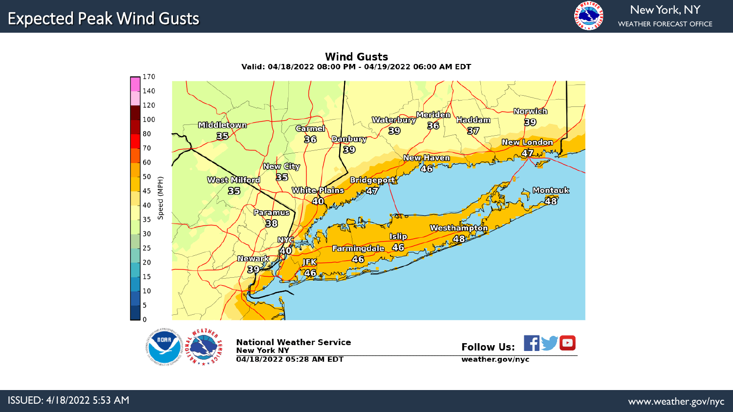

170 140 120 Nouvrich Waterbury Maritian Haddam 100 ଛ Middletown **Carmel**  $50$  $\S$ 80  $55$  $36$ penbury **New London** 70  $50$ Christmas New Haven 60 **New City**<br>BB 50 West Millord **Bridgeport** Speed (MPH) **White Plains** Monteuk<br>AB **BB**  $-457$ 45 40 40 **Burdance** 35 E8 Westhampton 30 **Islip** 48 Farmingdale 46 25 40 **Newerk** 46 **JEK** 20 <u>්වල</u> 26 15 10 5 l n Follow Us: FIVE **National Weather Service New York NY** 04/18/2022 05:28 AM EDT weather.gov/nyc

**Wind Gusts** Valid: 04/18/2022 08:00 PM - 04/19/2022 06:00 AM EDT